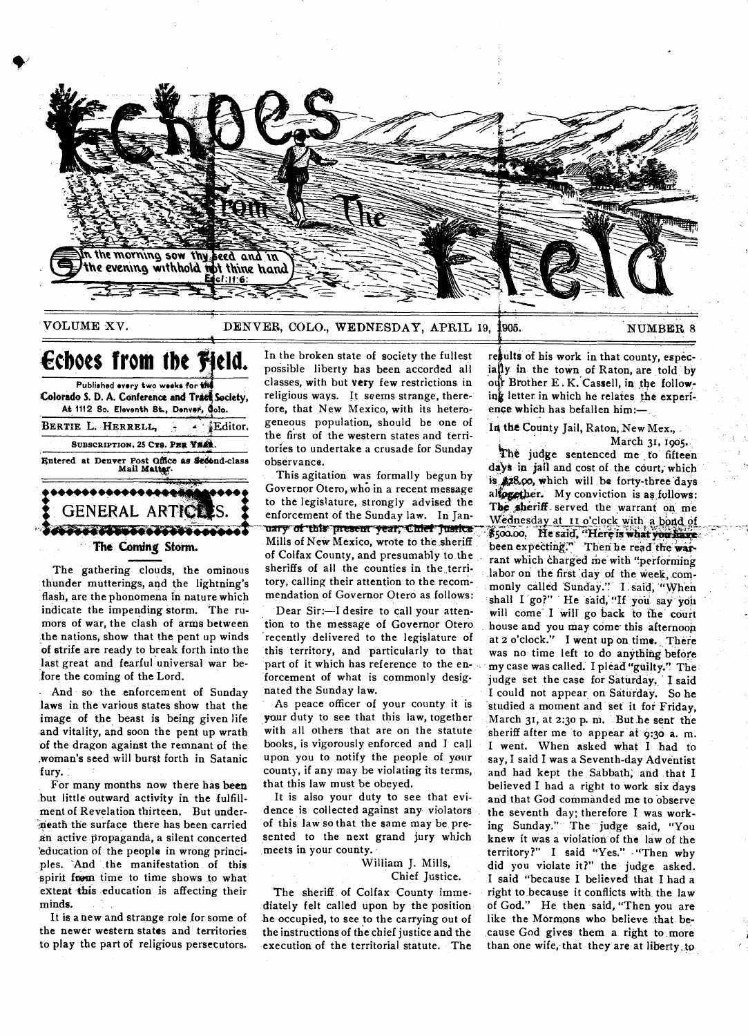

# **VOLUME XV.** DENVER, COLO., WEDNESDAY, APRIL 19, 1905. NUMBER 8

Entered at Denver Post Office as Second-class<br> **Mail Matter. •••••••••••• GENERAL ARTICLES.** .44444 **Echoes from the Hield. Published every two weeks for**  Colorado S. D. A. Conference and Trace Society, At 1112 So. Eleventh St., Denver, Oolo. **BERTIE L. HERRELL, 4 PA Editor.** SUBSCRIPTION, 25 CT8. PER YEAR

**The Corning Storm.** 

**The gathering clouds, the ominous thunder mutterings, and the lightning's flash, are the phonomena in nature which indicate the impending storm. The rumors of war, the clash of arms between**  ,**the nations, show that the pent up winds of strife are ready to break forth into the last great and fearful universal war before the coming of the Lord.** 

**- And so the enforcement of Sunday laws in the various states show that the image of the beast is being given life and vitality, and soon the pent up wrath of the dragon against the remnant of the ,wornan's seed will burst forth in Satanic fury.** 

**For many months now there has bees but little outward activity in the fulfillment of Revelation thirteen, But under- "neath the surface there has been carried an active propaganda, a silent concerted 'education of the people in wrong principles. 'And the manifestation of this**  spirit from time to time shows to what extent this education is affecting their **minds.** 

**It is a new and strange role for some of the newer western states and territories to play the part of religious persecutors.** 

**In the broken state of society the fullest possible liberty has been accorded all classes, with but very few restrictions in religious ways. It seems strange, therefore, that New Mexico, with its heterogeneous population, should be one of the first of the western states and territories to undertake a crusade for Sunday observance.** 

**This agitation was formally begun by Governor Otero, who in a recent message to the legislature, strongly advised the enforcement of the Sunday law. In Jan**uary of this present year, Chief Justice **Mills of New Mexico, wrote to the sheriff of Colfax County, and presumably to**, **the**  sheriffs of all the counties in the terri**tory, calling their attention to the recommendation of Governor Otero as follows:** 

**Dear Sir:—I desire to call your attention to the message of Governor Otero recently delivered to the legislature of this territory, and particularly to that**  part of it which has reference to the en**forcement of what is commonly designated the Sunday law.** 

**As peace officer of your county it is your duty to see that this law, together with all others that are on the statute books, is vigorously enforced and I call upon you to notify the people of your county, if any may be violating its terms, that this law must be obeyed.** 

**It is also your duty to see that evidence is collected against any violators of this law so that the same may be**, **presented to the next grand jury which meets in your county.** 

> **William J. Mills, Chief Justice.**

The sheriff of Colfax County imme**diately felt called upon by the position -he occupied, to see to the carrying out of the instructions of the chief justice and the execution of the territorial statute. The** 

results of his work in that county, espec**ia ly in the town of Raton, are told by**  our Brother E.K. Cassell, in the following letter in which he relates the experi**ence which has befallen him:— ,** 

**In the County Jail, Raton, New Mex.,** 

**March 31, 1905.** 

**The judge sentenced me to fifteen da'ye in jail and cost of the court; which is 42.8,90, which will be forty-three days**  alfogother. My conviction is as follows: The sheriff served the warrant on me Wednesday at 11 o'clock with a bond of \$500.00, He said, "Here is what you have **been expecting:"' Then he read'the war**rant which charged me with "performing labor on the first day of the week, com**monly called SundaY." L said, 'When**  shall I go?" He said, "If you say you **will come- .I will go back to the court house and you may come-this afternoon at 2 o'clock." I went up on time. There was no' time left to do anything before my case was called. I plead "guilty." The judge set the case for Saturday. I said I could not appear**, **on Saturday. So he studied a moment and set it for Friday,**  March 31, at 2:30 p. m. But he sent the **sheriff after me to appear** at **9:30 a. m. I went. When asked What I had to say, I said I was a Seventh-day Adventist and had kept the Sabbath; and that I believed I had a right to work six days and that God commanded me to observe the seventh day; therefore I was working Sunday." The judge said, "You knew it was a violation of the law of the territory?" I said "Yes." "Then why did you violate it?" the judge asked. I said "because I believed that I had a right to because it conflicts with the law of God." He, then said, "Then you are like the Mormons who believe that because God gives them a right to .more than one wife,,that they are at** liberty, to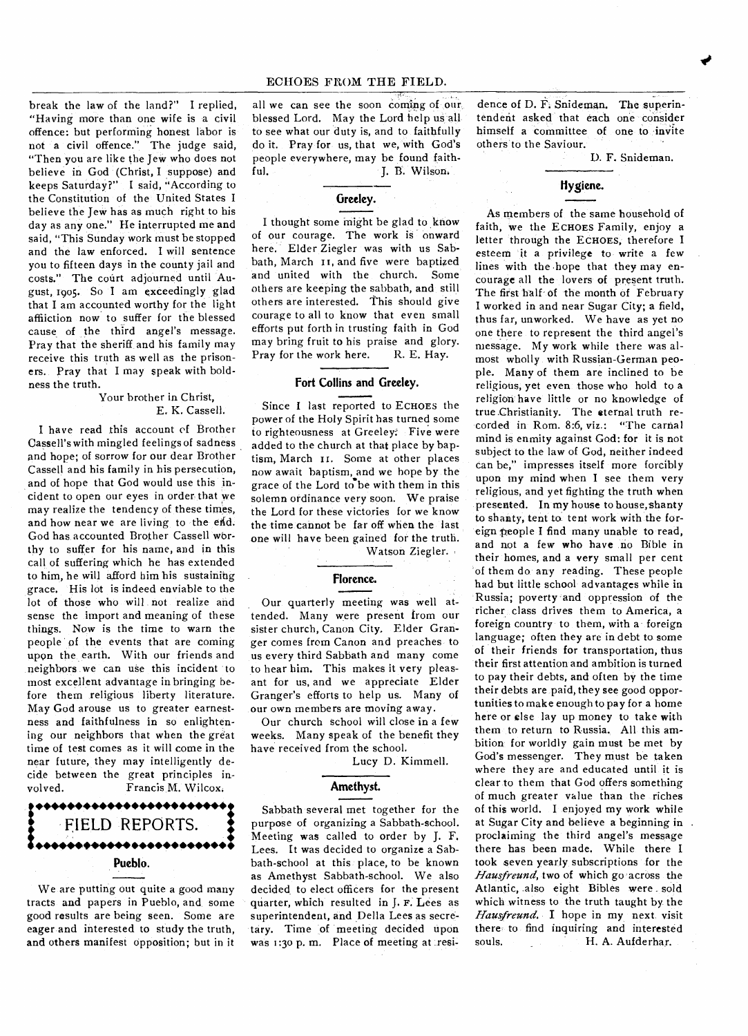break the law of the land?" I replied, "Having more than one wife is a civil offence: but performing honest labor is not a civil offence." The judge said, "Then you are like the Jew who does not believe in God (Christ, I suppose) and keeps Saturday?" I said, "According to the Constitution of the United States I believe the Jew has as much right to his day as any one." He interrupted me and said, "This Sunday work must be stopped and the law enforced. I will sentence you to fifteen days in the county jail and costs." The court adjourned until August, 1905. So I am exceedingly glad that I am accounted worthy for the light affliction now to suffer for the blessed cause of the third angel's message. Pray that the sheriff and his family may receive this truth as well as the prisoners. Pray that I may speak with boldness the truth.

#### Your brother in Christ, E. K. Cassell.

I have read this account of Brother Cassell's with mingled feelings of sadness and hope; of sorrow for our dear Brother Cassell and his family in his persecution, and of hope that God would use this incident to open our eyes in order that we may realize the tendency of these times, and how near we are living to the end. God has, accounted Brother Cassell wbrthy to suffer for his name, and in this call of suffering which he has extended to him, he will afford him his sustaining grace. His lot is indeed enviable to the lot of those who will not realize and sense the import and meaning of these things. Now is the time to warn the people of the events that are coming upon the, earth. With our friends and neighbors we can use this incident to most excellent advantage in bringing before them religious liberty literature. May God arouse us to greater earnestness and faithfulness in so enlightening our neighbors that when the great time of test comes as it will come in the near future, they may intelligently decide between the great principles involved. Francis M. Wilcox.



We are putting out quite a good many tracts and papers in Pueblo, and some good results are being seen. Some are eager and interested to study the truth, and others manifest opposition; but in it all we can see the soon coming of our blessed Lord. May the Lord help us all to see what our duty is, and to faithfully do it. Pray for us, that we, with God's people everywhere, may be found faithful. J. B. Wilson.

# **Greeley.**

I thought some might be glad to know of our courage. The work is onward here. Elder Ziegler was with us Sabbath, March it, and five were baptized and united with the church. Some others are keeping the sabbath, and still others are interested. This should give courage to all to know that even small efforts put forth in trusting faith in God may bring fruit to his praise and glory. Pray for the work here. R. E. Hay.

# **Fort Collins and Greeley.**

Since I last reported to ECHOES the power of the Holy Spirit has turned some to righteousness at Greeley: Five were added to the church at that place by baptism, March II. Some at other places now await baptism, and we hope by the grace of the Lord to be with them in this solemn ordinance very soon. We praise the Lord for these victories for we know the time cannot be far off when the last one will have been gained for the truth.

Watson Ziegler.

### **Florence.**

Our quarterly meeting was well attended. Many were present from our sister church, Canon City. Elder Granger comes from Canon and preaches to us every third Sabbath and many come to hear him. This makes it very pleasant for us, and we appreciate Elder Granger's efforts to help us. Many of our own members are moving away.

Our church school will close in a few weeks. Many speak of the benefit they have received from the school.

Lucy D. Kimmell.

## **Amethyst.**

Sabbath several met together for the purpose of organizing a Sabbath-school. Meeting was called to order by J. F. Lees. It was decided to organize a Sabbath-school at this place, to be known as Amethyst Sabbath-school. We also decided to elect officers for the present quarter, which resulted in J. F. Lees as superintendent, and Della Lees as secre tary. Time of meeting decided upon was 1:30 p. m. Place of meeting at resi-

dence of D. F. Snideman. The superintendent asked that each one consider himself a committee of one to invite others to the Saviour.

D. F. Snideman.

*mr#* 

# **Hygiene.**

As members of the same household of faith, we the ECHOES Family, enjoy a letter through the ECHOES, therefore I esteem it a privilege to write a few lines with the hope that they may *encourage* all the lovers of present truth. The first half- of the month of February I worked in and near Sugar City; a field, thus far, unworked. We have as yet no one there to represent the third angel's message. My work while there was almost wholly with Russian-German people. Many of them are inclined to be religious, yet even those who hold to a religion have little or no knowledge of true .Christianity. The eternal truth recorded in Rom. 8:6, viz.: "The carnal mind is enmity against God: for it is not subject to the law of God, neither indeed can be," impresses itself more forcibly upon my mind when I see them very religious, and yet fighting the truth when presented. In my house to house, shanty to shanty, tent to tent work with the foreign people I find many unable to read, and not a few who have no Bible in their homes, and a very small per cent of them do any reading. These people had but little school advantages while in Russia; poverty and oppression of the richer class drives them to America, a foreign country to them, with a foreign language; often they are in debt to some of their friends for transportation, thus their first attention and ambition is turned to pay their debts, and often by the time their debts are paid, they see good opportunities to make enough to pay for a home here or else lay up money to take with them to return to Russia. All this ambition for worldly gain must be met by God's messenger. They must be taken where they are and educated until it is clear to them that God offers something of much greater value than the riches of this world. I enjoyed my work while at Sugar City and believe a beginning in proclaiming the third angel's message there has been made. While there I took seven yearly subscriptions for the *Hausfreund,* two of which go across the Atlantic, also eight Bibles were sold which witness to the truth taught by the Hausfreund. I hope in my next visit there to find inquiring and interested<br>souls. H. A. Aufderhar. H. A. Aufderhar.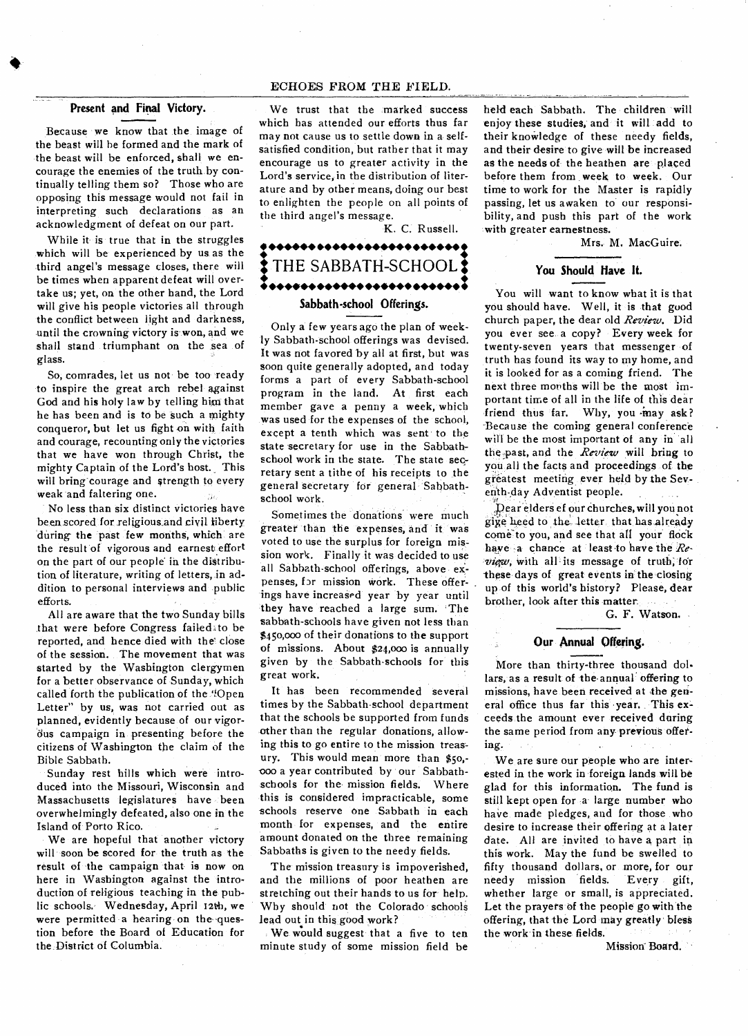## ECHOES FROM THE FIELD.

### **Present and Final Victory.**

Because we know that the image of the beast will be formed and the mark of the beast will be enforced, shall we encourage the enemies of the truth by continually telling them so? Those who are opposing this message would not fail in interpreting such declarations as an acknowledgment of defeat on our part.

While it is true that in the struggles which will be experienced by us as the third angel's message closes, there will be times when apparent defeat will overtake us; yet, on the other hand, the Lord will give his people victories all through the conflict between light and darkness, until the crowning victory is won, and we shall stand triumphant on the sea of glass.

So, comrades, let us not be too ready to inspire the great arch rebel against God and his holy law by telling him that he has been and is to be such a mighty conqueror, but let us fight on with faith and courage, recounting only the victories that we have won through Christ, the mighty Captain of the Lord's host.\_ This will bring courage and strength to every weak and faltering one.

No less than six distinct victories have been scored for religious and civil liberty during the past few months, which are the result of vigorous and earnest effort on the part of our people in the distribution of literature, writing of letters, in addition to personal interviews and public efforts.

All are aware that the two Sunday bills that were before Congress failed to be reported, and hence died with the' close of the session. The movement that was started by the Washington clergymen for a better observance of Sunday, which called forth the publication of the 'Open Letter" by us, was not carried out as planned, evidently because of our vigordus campaign in presenting before the citizens of Washington the claim of the Bible Sabbath.

Sunday rest hills which were introduced into the Missouri, Wisconsin and Massachusetts legislatures have been overwhelmingly defeated, also one in the Island of Porto Rico.

We are hopeful that another victory will soon be scored for the truth as the result of the campaign that is now on here in Washington against the introduction of religious teaching in the public schools. Wednesday, April 12th, we were permitted a hearing on the-question before the Board of Education for the District of Columbia.

We trust that the marked success which has attended our efforts thus far may not cause us to settle down in a selfsatisfied condition, but rather that it may encourage us to greater activity in the Lord's service, in the distribution of literature and by other means, doing our best to enlighten the people on all points of the third angel's message.

K. C. Russell.

# **• ••• ••• •••••• •••••• •••••• THE SABBATH-SCHOOL • •••••••••••• •••••• •••••• •••**

# **Sabbath-school Offerings.**

Only a few years ago the plan of weekly Sabbath-school offerings was devised. It was not favored by all at first, but was soon quite generally adopted, and today forms a part of every Sabbath-school program in the land. At first each member gave a penny a week, which was used for the expenses of the school, except a tenth which was sent to the state secretary for use in the Sabbathschool work in the state. The state secretary sent a tithe of his receipts to the general secretary for general Sabbathschool work.

Sometimes the donations were much greater than the expenses, and it was voted to use the surplus for foreign mission work. Finally it was decided to use all Sabbath-school offerings, above expenses, for mission work. These offerings have increased year by year until they have reached a large sum. 'The sabbath-schools have given not less than \$450,000 of their donations to the support of missions. About \$24,000 is annually given by the Sabbath-schools for this great work.

It has been recommended several times by the Sabbath-school department that the schools be supported from funds other than the regular donations, allowing this to go entire to the mission treasury. This would mean more than \$5o, boo a year contributed by our Sabbathschools for the mission fields. Where this is considered impracticable, some schools reserve one Sabbath in each month for expenses, and the entire amount donated on the three remaining Sabbaths is given to the needy fields.

The mission treasury is impoverished, and the millions of poor heathen are stretching out their hands to us for help. Why should not the Colorado schools lead out in this good work?

We would suggest that a five to ten minute study of some mission field be held each Sabbath. The children will enjoy these studies, and it will add to their knowledge of these needy fields, and their desire to give will be increased as the needs of the heathen are placed before them from week to week. Our time to work for the Master is rapidly passing, let us awaken to our responsibility, and push this part of the work with greater earnestness.

Mrs. M. MacGuire.

## **You Should Have It.**

You will want to know what it is that you should have. Well, it is that good church paper, the dear old *Review.* Did you ever see a copy? Every week for twenty-seven years that messenger of truth has found its way to my home, and it is looked for as a coming friend. The next three mouths will be the most important time of all in the life of this dear friend thus far. Why, you may ask? -Because the coming general conference will be the most important of any in all the past, and the *Review* will bring to you all the facts and proceedings of the greatest meeting ever held by the Seventh-day Adventist people.

Dear elders ef our churches, will you not gige heed to the \_letter that has already come-to you, and see that *all* your flock have a chance at least-to have the *Review*, with all its message of truth; for these days of great events in the closing up of this world's history? Please, dear brother, look after this matter.

G. F. Watson.

#### **Our Annual Offering.**

More than thirty-three thousand dollars, as a result of the annual offering to missions, have been received at the general office thus far this •year. This exceeds the amount ever received daring the same period from any previous offering.

We are sure our people who are interested in the work in foreign lands will be glad for this information. The fund is still kept open for a large number who have made pledges, and for those who desire to increase their offering at a later date. All are invited to have a part in this work. May the fund be swelled to fifty thousand dollars, or more, for our needy mission fields. Every gift, whether large or small, is appreciated. Let the prayers of the people go with the offering, that the Lord may greatly bless the work in these fields.

Mission **Boa**rd.